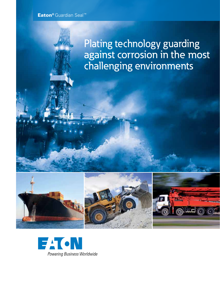## Eaton® Guardian Seal™

# Plating technology guarding against corrosion in the most challenging environments







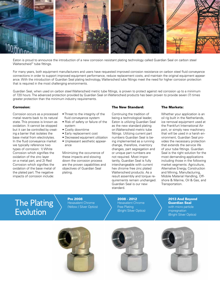

Eaton is proud to announce the introduction of a new corrosion resistant plating technology called Guardian Seal on carbon steel Walterscheid™ tube fittings.

For many years, both equipment manufacturers and users have requested improved corrosion resistance on carbon steel fluid conveyance connections in order to support improved equipment performance, reduce replacement costs, and maintain the original equipment appearance. With the introduction of Guardian Seal plating technology, Walterscheid tube fittings meet the need for higher corrosion protection that is required in the most challenging environments.

Guardian Seal, when used on carbon steel Walterscheid metric tube fittings, is proven to protect against red corrosion up to a minimum of 720 hours. The advanced protection provided by Guardian Seal on Walterscheid products has been proven to provide seven (7) times greater protection than the minimum industry requirements.

#### Corrosion:

Corrosion occurs as a processed metal reverts back to its natural state. This process is known as oxidation. It cannot be stopped but it can be controlled by creating a barrier that isolates the base metal from electrolytes. In the fluid conveyance market we typically reference two types of corrosion: 1) White Corrosion which signifies the oxidation of the zinc layer on a metal part, and 2) Red Corrosion which signifies the oxidation of the base metal of the plated part. The negative impacts of corrosion include:

- Threat to the integrity of the fluid conveyance system
- Risk of safety or failure of the system
- Costly downtime
- Early replacement cost
- Decreased equipment utilization
- Unpleasant aesthetic appearance

Minimizing the occurrence of these impacts and slowing down the corrosion process are the proven capabilities and objectives of Guardian Seal plating.

### The New Standard:

Continuing the tradition of being a technological leader, Eaton is utilizing Guardian Seal as the new standard plating on Walterscheid metric tube fittings. Utilizing current part numbers Guardian Seal is being implemented as a running change, therefore, inventory changes, part segregation and or unique part numbers are not required. Most importantly, Guardian Seal is fully interchangeable with current hex chrome free zinc plated Walterscheid products. As a result assembly and torque requirements remain unchanged. Guardian Seal is our new standard.

#### The Markets:

Whether your application is an oil rig built in the Netherlands, ice removal equipment used at the Frankfurt International Airport, or simply new machinery that will be used in a harsh environment, Guardian Seal provides the necessary protection that extends the service life of your tube fittings. Guardian Seal is the right solution for the most demanding applications including those in the following market segments: Agriculture, Alternative Energy, Construction and Mining, Manufacturing, Mobile Material Handling, Offshore & Marine, Oil & Gas, and Transportation.

## The Plating  $\sum_{\text{Hexavalent Chrome}}$ Evolution

Pre 2008<br>Hexavalent Chrome

2008 - 2012 Hexavalent Chrome Free Plating (Bright Silver Optics) 2013 And Beyond Guardian Seal with micro particle **impregnation** (Bright Silver Optics)





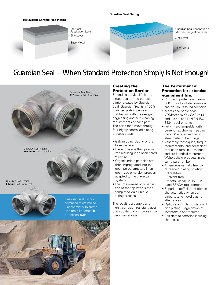

## Guardian Seal – When Standard Protection Simply Is Not Enough!



## Creating the Protection Barrier

Extending service life is the direct result of the corrosion barrier created by Guardian Seal. Guardian Seal is a 100% matched plating process that begins with the design, degreasing and acid cleaning requirements of each part. The parts then move through four highly controlled plating process steps:

- Galvanic zinc plating of the base material
- The zinc layer is then passivized resulting in an open-pored structure
- Organic micro-particles are then impregnated into the open-pored structure in an optimized emersion process adapted to the chemical system
- The cross-linked polymerisation of the top layer is then completed via a unique curing process

The result is a durable and highly corrosion-resistant layer that substantially improves corrosion resistance.

## The Performance: Protection for extended equipment life.

- Corrosion protection meeting 360 hours to white corrosion and 720 hours to red corrosion
- Meets and or exceeds VDMA24576 K5 / SAE J514 and J1453, and DIN EN ISO 8434 requirements
- Fully interchangeable with current hex chrome free zinc plated Walterscheid carbon steel metric tube fittings
- Assembly techniques, torque requirements, and coefficient of friction remain unchanged and are identical to current Walterscheid products in the same part number
- An environmentally friendly "Greener" plating solution: • Nickel-free
	- Solvent-free
- Meets Global RoHS, ELV and REACH requirements
- Superior coefficient of friction characteristics when compared to zinc nickel plating alternatives
- Optics are similar to standard zinc plating. Segregation of inventory is not required
- Resistant to corrosion inducing chemicals